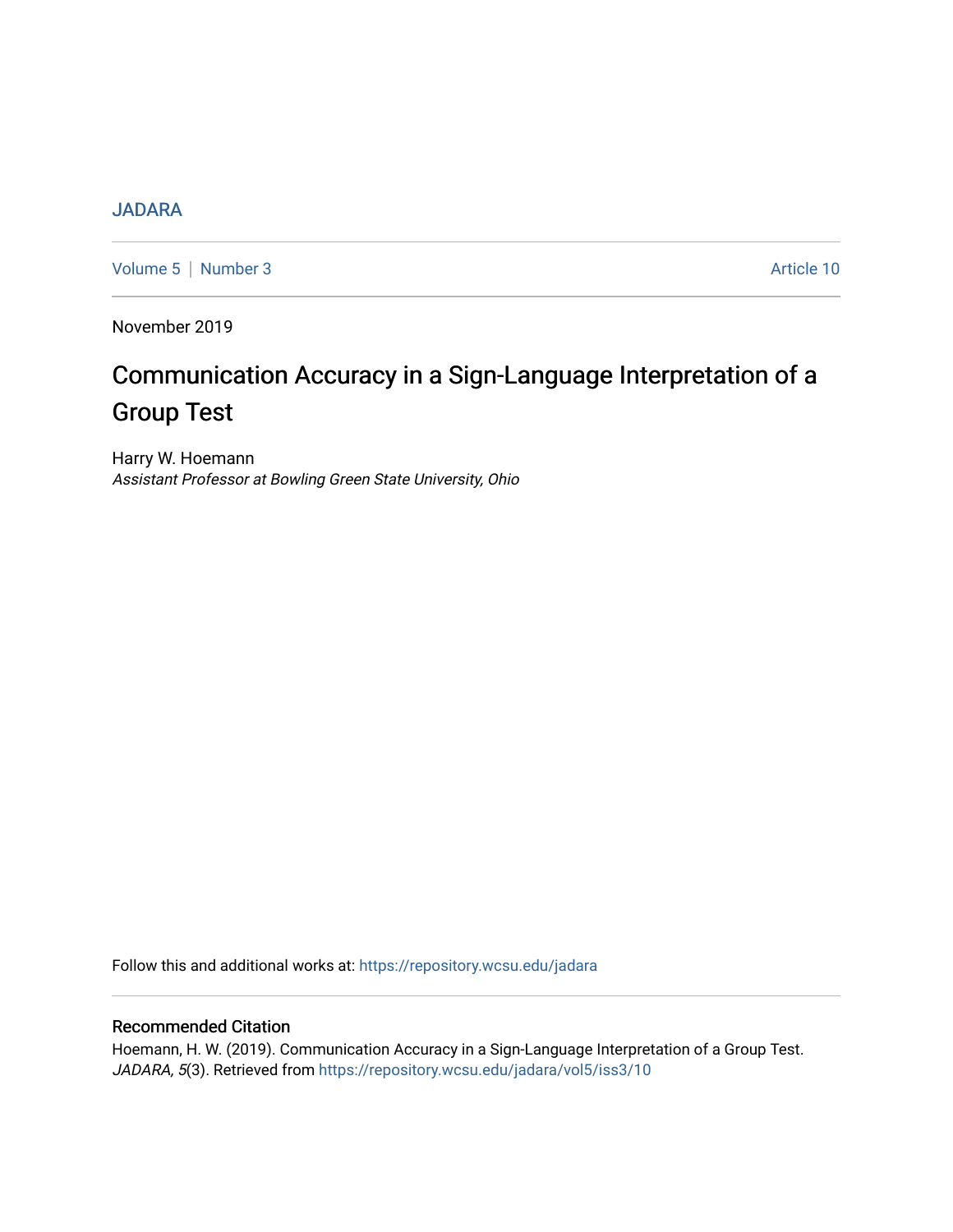# **[JADARA](https://repository.wcsu.edu/jadara)**

[Volume 5](https://repository.wcsu.edu/jadara/vol5) | [Number 3](https://repository.wcsu.edu/jadara/vol5/iss3) Article 10

November 2019

# Communication Accuracy in a Sign-Language Interpretation of a Group Test

Harry W. Hoemann Assistant Professor at Bowling Green State University, Ohio

Follow this and additional works at: [https://repository.wcsu.edu/jadara](https://repository.wcsu.edu/jadara?utm_source=repository.wcsu.edu%2Fjadara%2Fvol5%2Fiss3%2F10&utm_medium=PDF&utm_campaign=PDFCoverPages)

# Recommended Citation

Hoemann, H. W. (2019). Communication Accuracy in a Sign-Language Interpretation of a Group Test. JADARA, 5(3). Retrieved from [https://repository.wcsu.edu/jadara/vol5/iss3/10](https://repository.wcsu.edu/jadara/vol5/iss3/10?utm_source=repository.wcsu.edu%2Fjadara%2Fvol5%2Fiss3%2F10&utm_medium=PDF&utm_campaign=PDFCoverPages)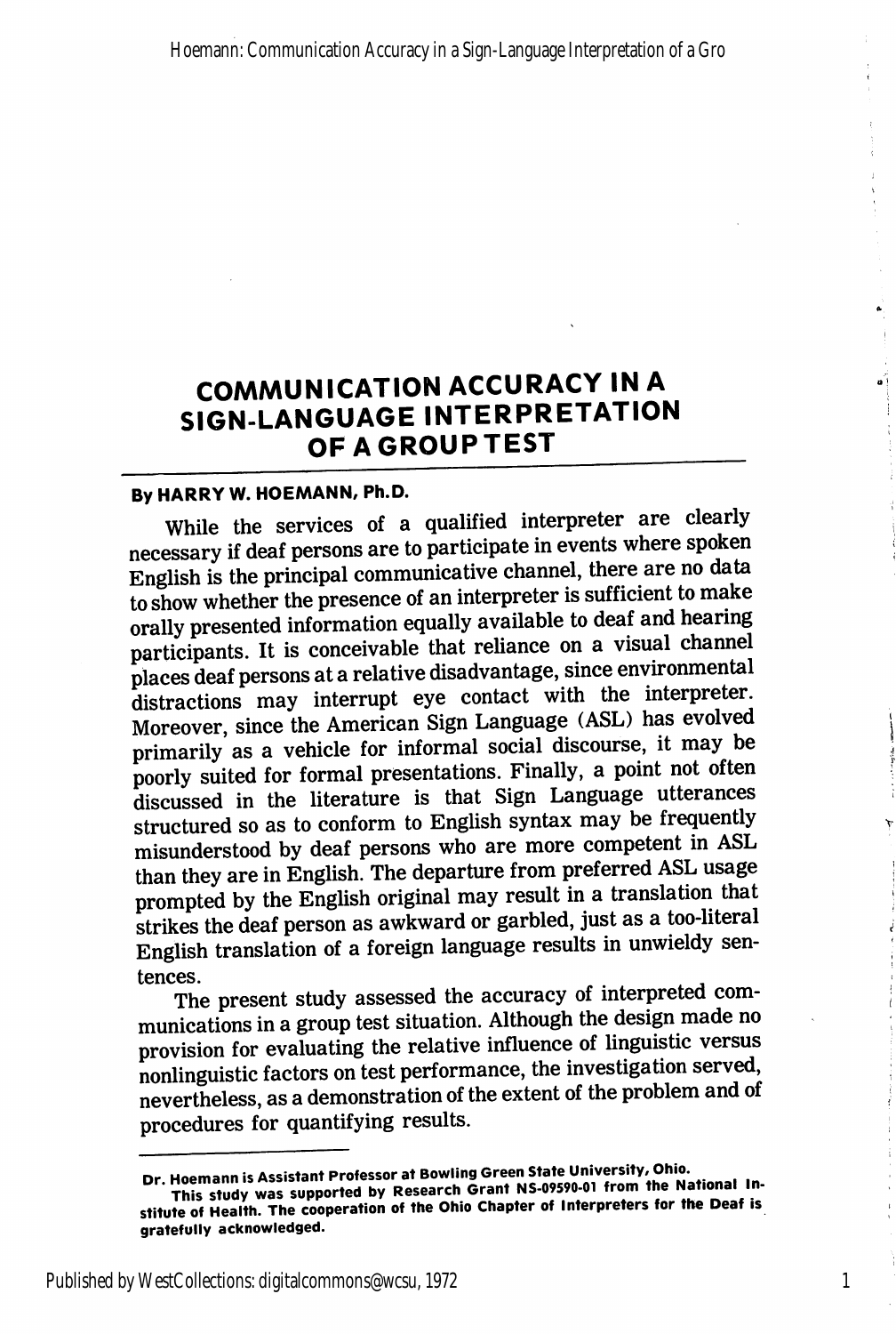# COMMUNICATION ACCURACY IN A SIGN-LANGUAGE INTERPRETATION OF A GROUP TEST

## By HARRY W. HOEMANN, Ph.D.

While the services of a qualified interpreter are clearly necessary if deaf persons are to participate in events where spoken English is the principal communicative channel, there are no data to show whether the presence of an interpreter is sufficient to make orally presented information equally available to deaf and hearing participants. It is conceivable that reliance on a visual channel places deaf persons at a relative disadvantage, since environmental distractions may interrupt eye contact with the interpreter. Moreover, since the American Sign Language (ASL) has evolved primarily as a vehicle for informal social discourse, it may be poorly suited for formal presentations. Finally, a point not often discussed in the literature is that Sign Language utterances structured so as to conform to English syntax may be frequently misunderstood by deaf persons who are more competent in ASL than they are in English. The departure from preferred ASL usage prompted by the English original may result in a translation that strikes the deaf person as awkward or garbled, just as a too-literal English translation of a foreign language results in unwieldy sentences.

The present study assessed the accuracy of interpreted com munications in a group test situation. Although the design made no provision for evaluating the relative influence of linguistic versus nonlinguistic factors on test performance, the investigation served, nevertheless, as a demonstration of the extent of the problem and of procedures for quantifying results.

1

Dr. Hoemann is Assistant Professor at Bowling Green State University, Ohio.<br>This study was supported by Research Grant NS-09590-01 from the National Institute of Health. The cooperation of the Ohio Chapter of Interpreters for the Deaf is gratefully acknowledged.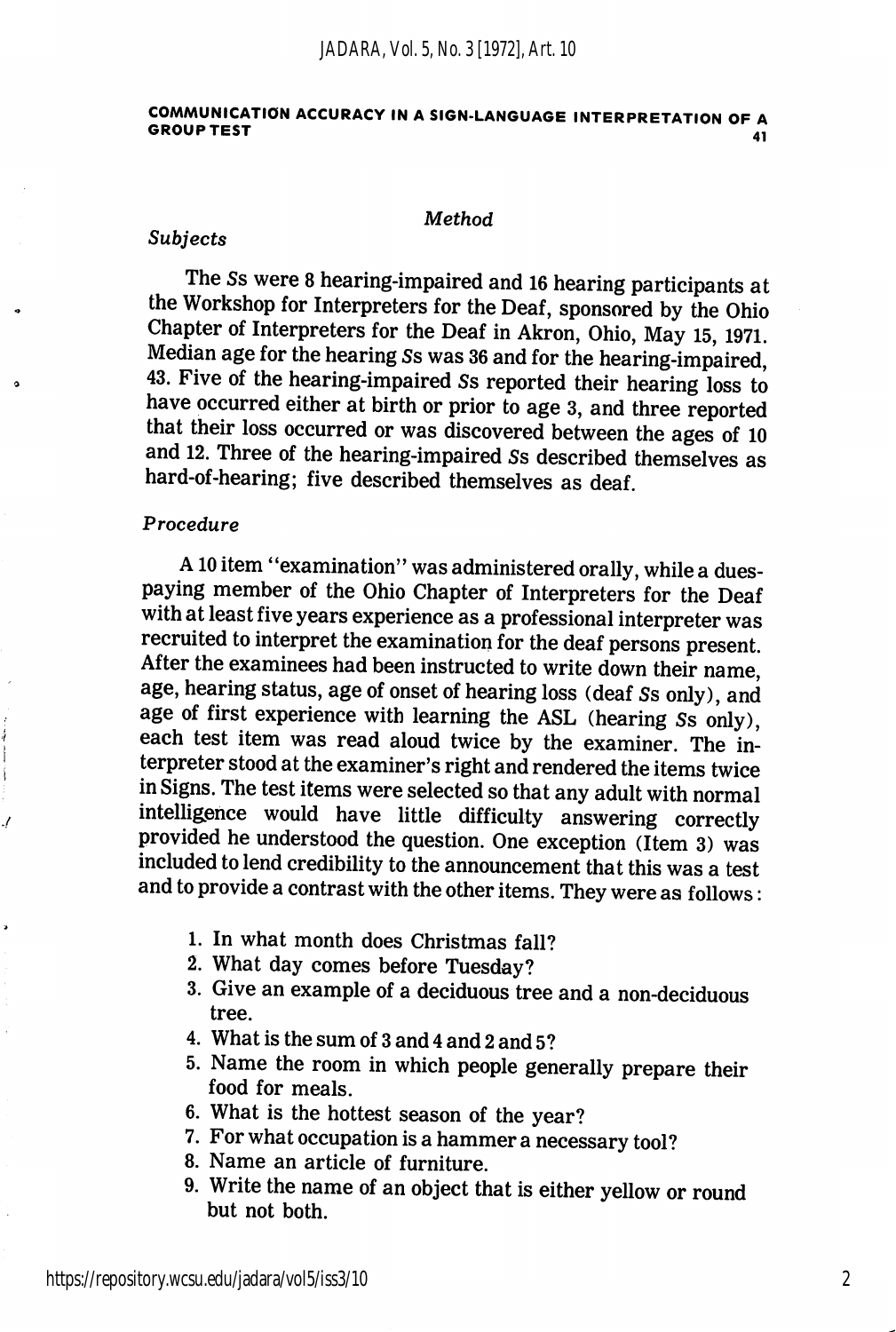#### COMMUNICATION ACCURACY IN A SIGN-LANGUAGE INTERPRETATION OF A GROUP TEST 41

#### **Method**

#### Subjects

The Ss were 8 hearing-impaired and 16 hearing participants at the Workshop for Interpreters for the Deaf, sponsored by the Ohio Chapter of Interpreters for the Deaf in Akron, Ohio, May 15,1971. Median age for the hearing Ss was 36 and for the hearing-impaired, 43. Five of the hearing-impaired Ss reported their hearing loss to have occurred either at birth or prior to age 3, and three reported that their loss occurred or was discovered between the ages of 10 and 12. Three of the hearing-impaired Ss described themselves as hard-of-hearing; five described themselves as deaf.

### Procedure

 $\ddot{i}$ ŧ

A10 item "examination" was administered orally, while a duespaying member of the Ohio Chapter of Interpreters for the Deaf with at least five years experience as a professional interpreter was recruited to interpret the examination for the deaf persons present. After the examinees had been instructed to write down their name, age, hearing status, age of onset of hearing loss (deaf Ss only), and age of first experience with learning the ASL (hearing Ss only), each test item was read aloud twice by the examiner. The in terpreter stood at the examiner's right and rendered the items twice in Signs. The test items were selected so that any adult with normal intelligence would have little difficulty answering correctly provided he understood the question. One exception (Item 3) was included to lend credibility to the announcement that this was a test and to provide a contrast with the other items. They were as follows:

- 1. In what month does Christmas fall?
- 2. What day comes before Tuesday?
- 3. Give an example of a deciduous tree and a non-deciduous tree.
- 4. What is the sum of 3 and 4 and 2 and 5?
- 5. Name the room in which people generally prepare their food for meals.
- 6. What is the hottest season of the year?
- 7. For what occupation is a hammer a necessary tool?
- 8. Name an article of furniture.
- 9. Write the name of an object that is either yellow or round but not both.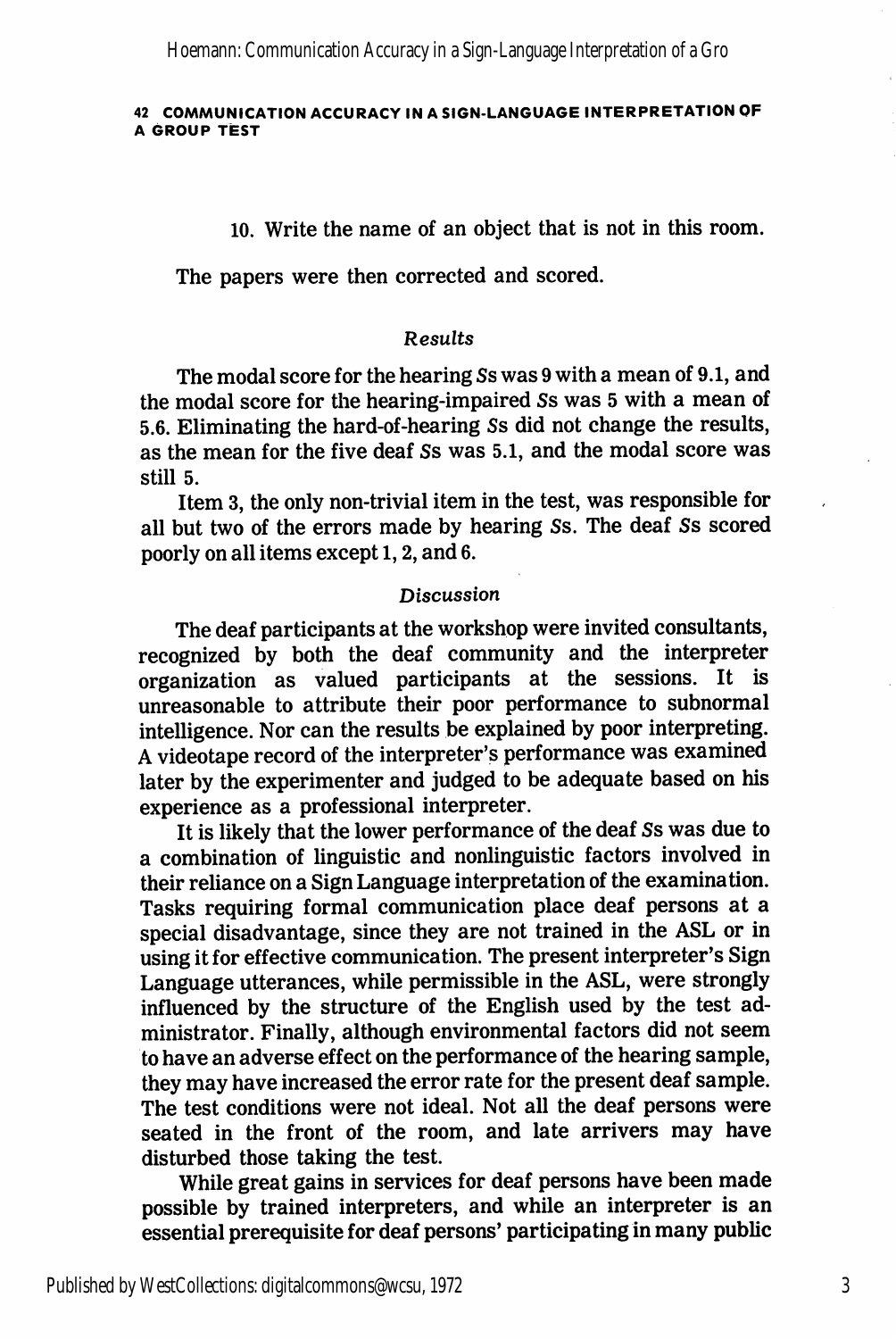Hoemann: Communication Accuracy in a Sign-Language Interpretation of a Gro

#### 42 COMMUNICATION ACCURACY IN A SIGN-LANGUAGE INTERPRETATION OF A Group test

10. Write the name of an object that is not in this room.

The papers were then corrected and scored.

## Results

The modal score for the hearing Ss was 9 with a mean of 9.1, and the modal score for the hearing-impaired Ss was 5 with a mean of 5.6. Eliminating the hard-of-hearing Ss did not change the results, as the mean for the five deaf Ss was 5.1, and the modal score was still 5.

Item 3, the only non-trivial item in the test, was responsible for all but two of the errors made by hearing Ss. The deaf Ss scored poorly on all items except 1, 2, and 6.

## Discussion

The deaf participants at the workshop were invited consultants, recognized by both the deaf community and the interpreter organization as valued participants at the sessions. It is unreasonable to attribute their poor performance to subnormal intelligence. Nor can the results be explained by poor interpreting. A videotape record of the interpreter's performance was examined later by the experimenter and judged to be adequate based on his experience as a professional interpreter.

It is likely that the lower performance of the deaf Ss was due to a combination of linguistic and nonlinguistic factors involved in their reliance on a Sign Language interpretation of the examination. Tasks requiring formal communication place deaf persons at a special disadvantage, since they are not trained in the ASL or in using it for effective communication. The present interpreter's Sign Language utterances, while permissible in the ASL, were strongly influenced by the structure of the English used by the test ad ministrator. Finally, although environmental factors did not seem to have an adverse effect on the performance of the hearing sample, they may have increased the error rate for the present deaf sample. The test conditions were not ideal. Not all the deaf persons were seated in the front of the room, and late arrivers may have disturbed those taking the test.

While great gains in services for deaf persons have been made possible by trained interpreters, and while an interpreter is an essential prerequisite for deaf persons' participating in many public